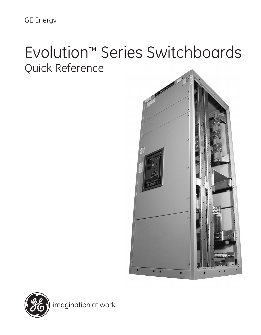GE Energy

# Evolution™ Series Switchboards Quick Reference



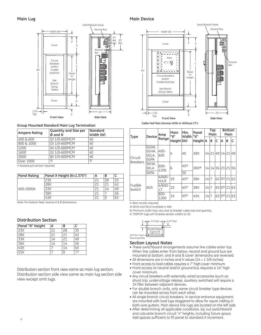$90'$ 

#### Switchboard Frame Neutral Bus Width (W) 10" Ref. 20" 3" rail Ref. Cover A ିସ Ground<br>Bar **r** Circuit  $\overline{\cdot}$ Breakers and/or C Fusible Switches Par "X" Height See Branch Sizing Tables Cover B ₹ ∗lŀ 25"

**Front View Side View**

#### **Group Mounted Standard Main Lug Termination**

Typ. 3"

| <b>Quantity and Size per</b><br>Ø and N | <b>Standard</b><br>Width (W) |
|-----------------------------------------|------------------------------|
|                                         | 40                           |
| (3) 1/0-600MCM                          | 40                           |
| (4) 1/0-600MCM                          | 40                           |
| (5) 1/0-600MCM                          | 40                           |
| (6) 1/0-600MCM                          | 40                           |
| (1)                                     | $^{\circledR}$               |
|                                         | (2) 1/0-600MCM               |

① Bussed pull section required.

1.50

| <b>Panel Rating</b> | Panel X Height (X=1.375") | в  |    |
|---------------------|---------------------------|----|----|
| 400-2000A           | 23X                       | 28 | 35 |
|                     | 28X                       |    | 42 |
|                     |                           | 14 | 49 |
|                     | 38X                       |    | 56 |
|                     |                           |    |    |

Note: For bottom feed, reverse A & B dimensions.

#### **Distribution Section**

| Panel "X" Height | A  | в  | r  |
|------------------|----|----|----|
| <b>23X</b>       | 21 | 28 | 35 |
| <b>28X</b>       | 21 | 21 | 42 |
| <b>33X</b>       | 14 | 21 | 49 |
| <b>38X</b>       | 14 | 14 | 56 |
| 43X              |    | 14 | 63 |
| 53X              |    |    |    |

Distribution section front view same as main lug section. Distribution section side view same as main lug section side view except omit lugs.

#### **Main Lug Main Device**



**Cable Fed Main Devices With or Without CT's**

| Type                            | <b>Device</b>                          | Amp                | Main<br>"X" | Min.<br><b>Width</b>  | Panel<br>"X"     | Top<br>Main |   |                   | <b>Bottom</b><br>Main |                      |    |
|---------------------------------|----------------------------------------|--------------------|-------------|-----------------------|------------------|-------------|---|-------------------|-----------------------|----------------------|----|
|                                 |                                        | Range              | Height (W)  |                       | Height A         |             | в | lC                | ΙA                    | B                    | C  |
| lCircuit<br><b>Breakers</b>     | SGDA,<br>SGHA,<br>SGLA,<br><b>SGPA</b> | 400-<br>600        | 4           | 40                    | 38X              |             |   | 14 21 49 14 21    |                       |                      | 49 |
|                                 | SKHA,<br><b>SKLA</b><br><b>SKPA</b>    | $800 -$<br>1200    | 6           | 45 <sup>3</sup><br>50 | 38X <sup>2</sup> |             |   | 14 14 56 23 21 56 |                       |                      |    |
|                                 |                                        | $4/600 -$<br>H.K.R | 10          | 45 <sup>®</sup>       | 38X              | 14          | 7 |                   | 63 0 <sup>0</sup> 21  |                      | 63 |
| <b>Fusible</b><br><b>Switch</b> | <b>ADS</b>                             | $4/600 -$<br>J,T   | 10          | 45 <sup>®</sup>       | 38X              | 14 7        |   |                   |                       | $63 0^{\circ} 21 63$ |    |
|                                 |                                        | $800 -$<br>1200    | 19          | 45 <sup>®</sup>       | 43X              | 14          | 7 |                   | $63 0^{\circ} 21$     |                      | 63 |

① Rear access required.

② SKHA and SKLA available in 48X.

③ Minimum width may vary due to breaker cable size and quantity.

➃ 750MCM lugs will increase section widths to 50.

|                  | н  ← 2.5 (Тур.) →   — 3.12 (Тур.)            |  |
|------------------|----------------------------------------------|--|
| .625 Dia. (Typ.) | Conduit Space<br>(Typical all<br>Selections) |  |
| Mounting Holes   |                                              |  |

#### **Section Layout Notes**

- These switchboard arrangements assume line cables enter top. When line cables enter from below, neutral and ground bus are mounted at bottom, and A and B cover dimensions are reversed.
- All dimensions are in inches and X values (1X = 1 3/8 inches).
- Front access to load cables requires a 7" high cover minimum.
- Front access to neutral and/or ground bus requires a 14" high cover minimum.
- Any circuit breakers with externally wired accessories (such as shunt trip, undervoltage release, auxiliary switches) will require a 1X filler between adjacent devices.
- For double branch units, only same circuit breaker type devices can be mounted across from each other.
- All single branch circuit breakers, in service entrance equipment, are mounted with load lugs staggered to allow for equal cabling in both wire gutters. Main device line lugs are located on the left side.
- After determining all applicable conditions, lay out switchboard and calculate branch circuit "x" heights, including future space. Add spaces sufficient to fill panel to standard X increment.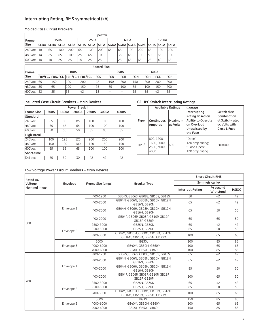#### **Interrupting Rating, RMS symmetrical (kA)**

#### **Molded Case Circuit Breakers**

|        | Spectra            |             |             |             |             |             |             |      |                   |     |             |             |             |             |
|--------|--------------------|-------------|-------------|-------------|-------------|-------------|-------------|------|-------------------|-----|-------------|-------------|-------------|-------------|
| Frame  | 150A               |             |             |             | 250A        |             | 600A        |      |                   |     | 1200A       |             |             |             |
| Size   | <b>SEDA</b>        | <b>SEHA</b> | <b>SELA</b> | <b>SEPA</b> | <b>SFHA</b> | <b>SFLA</b> | <b>SFPA</b> |      | lsgda Isgha Isgla |     | <b>SGPA</b> | <b>SKHA</b> | <b>SKLA</b> | <b>SKPA</b> |
| 240Vac | 18                 | 65          | 100         | 200         | 65          | 100         | 200         | 65   | 65                | 100 | 200         | 165         | 100         | 200         |
| 480Vac | 14                 | 25          | 165         | 100         | 25          | 65          | 100         | –    | 35                | 65  | 100         | 50          | 165         | 100         |
| 600Vac | 10                 | 18          | 25          | 25          | 18          | 25          | 25          |      | 25                | 65  | 65          | 25          | 42          | 65          |
|        | <b>Record Plus</b> |             |             |             |             |             |             |      |                   |     |             |             |             |             |
| Frame  |                    | 100A        |             |             |             |             | 250A        |      |                   |     | 600A        |             |             |             |
| $\sim$ |                    |             |             |             |             |             | ---         | ---- | .                 |     | $- - - -$   | $- - - -$   | $- - -$     | $- - -$     |

| .         |     |     |                                        |     |             |            |            |     |             |            |            |
|-----------|-----|-----|----------------------------------------|-----|-------------|------------|------------|-----|-------------|------------|------------|
| Size      |     |     | <b>FBV/FCV FBN/FCN FBH/FCH FBL/FCL</b> |     | <b>IFCS</b> | <b>FEN</b> | <b>FEH</b> | FGN | <b>IFGH</b> | <b>FGL</b> | <b>FGP</b> |
| $240$ Vac | 165 | 150 | 200                                    | 200 | '42         | 150        | 200        | 150 | 200         | 200        | 200        |
| 480Vac    | 35  | 65  | 100                                    | 150 | 25          | 65         | '100       | 65  | 100         | 150        | 1200       |
| 600Vac    | 22  | 25  | 35                                     | 42  | 18          |            |            | 25  | 35          | 42         | 65         |

#### **Insulated Case Circuit Breakers – Main Devices**

|                     | <b>Power Break II</b> |       |       |       |       |       |  |  |  |  |  |  |
|---------------------|-----------------------|-------|-------|-------|-------|-------|--|--|--|--|--|--|
| <b>Frame Size</b>   | 800A                  | 1600A | 2000A | 2500A | 3000A | 4000A |  |  |  |  |  |  |
| <b>Standard</b>     |                       |       |       |       |       |       |  |  |  |  |  |  |
| $240$ Vac           | 65                    | 85    | 85    | 100   | 100   | 100   |  |  |  |  |  |  |
| 480Vac              | 65                    | 65    | 65    | 100   | 100   | 100   |  |  |  |  |  |  |
| $600$ Vac           | 50                    | 50    | 50    | 85    | 85    | 85    |  |  |  |  |  |  |
| High-Break          |                       |       |       |       |       |       |  |  |  |  |  |  |
| $240$ Vac           | 100                   | 125   | 125   | 200   | 200   | 200   |  |  |  |  |  |  |
| 480Vac              | 100                   | 100   | 100   | 150   | 150   | 150   |  |  |  |  |  |  |
| 600Vac              | 65                    | 65    | 65    | 100   | 100   | 100   |  |  |  |  |  |  |
| Short-time          |                       |       |       |       |       |       |  |  |  |  |  |  |
| $(0.5 \text{ sec})$ | 25                    | 30    | 30    | 42    | 42    | 42    |  |  |  |  |  |  |

#### **GE HPC Switch Interrupting Ratings**

|       | <b>Available Ratings</b>                         |                     | Contact                                                                                                         |                                                                                |  |  |
|-------|--------------------------------------------------|---------------------|-----------------------------------------------------------------------------------------------------------------|--------------------------------------------------------------------------------|--|--|
| Type  | Continuous<br>Amperes                            | Maximum<br>ac Volts | Interrupting<br><b>Rating Based on</b><br><b>Ability to Operate</b><br>on Overload<br>Unassisted by<br>the Fuse | Switch-fuse<br>Combination<br>at Switch-rated<br>ac Volts with<br>Class L Fuse |  |  |
| HPC/R | 800, 1200,<br>1600, 2000,<br>2500, 3000,<br>4000 | 600                 | "Open" -<br>12X amp rating;<br>"Close-Open" -<br>12X amp rating                                                 | 200,000                                                                        |  |  |

#### **Low Voltage Power Circuit Breakers – Main Devices**

| <b>Rated AC</b> |            |                   |                                                                  |                         | <b>Short-Circuit RMS</b>  |              |
|-----------------|------------|-------------------|------------------------------------------------------------------|-------------------------|---------------------------|--------------|
| Voltage,        | Envelope   | Frame Size (amps) | <b>Breaker Type</b>                                              |                         | Symmetrical kA            |              |
| Nominal (max)   |            |                   |                                                                  | <b>Interrupt Rating</b> | $1/2$ second<br>Withstand | <b>HSIOC</b> |
|                 |            | 400-1200          | GB04S, GB06S, GB08S, GB10S, GB12S                                | 50                      | 42                        | 42           |
|                 |            | 400-2000          | GB04N, GB06N, GB08N, GB10N, GB12N,<br>GB16N, GB20N               | 65                      | 42                        | 42           |
| 600             | Envelope 1 | 400-2000          | GB04H, GB06H, GB08H, GB10H, GB12H,<br>GB16H, GB20H               | 65                      | 50                        | 50           |
|                 |            | 400-2000          | GB04P, GB06P, GB08P, GB10P, GB12P,<br>GB16P, GB20P               | 65                      | 65                        | 50           |
|                 | Envelope 2 | 2500-3000         | GB25N, GB30N                                                     | 65                      | 42                        | 42           |
|                 |            | 2500-3000         | GB25H. GB30H                                                     | 65                      | 50                        | 50           |
|                 |            | 400-3000          | GB04M, GB06M, GB08M, GB10M, GB12M,<br>GB16M, GB20M, GB25M, GB30M | 100                     | 65                        | 65           |
|                 |            | 3000              | BG30L                                                            | 100                     | 85                        | 85           |
|                 | Envelope 3 | 4000-6000         | GB40M, GB50M, GB60M                                              | 100                     | 65                        | 65           |
|                 |            | 4000-6000         | GB40L, GB50L, GB60L                                              | 100                     | 85                        | 85           |
|                 |            | 400-1200          | GB04S, GB06S, GB08S, GB10S, GB12S                                | 65                      | 42                        | 42           |
|                 |            | 400-2000          | GB04N, GB06N, GB08N, GB10N, GB12N,<br>GB16N, GB20N               | 65                      | 42                        | 42           |
|                 | Envelope 1 | 400-2000          | GB04H, GB06H, GB08H, GB10H, GB12H,<br>GB16H, GB20H               | 85                      | 50                        | 50           |
|                 |            | 400-2000          | GB04P, GB06P, GB08P, GB10P, GB12P,<br>GB16P, GB20P               | 100                     | 65                        | 50           |
| 480             |            | 2500-3000         | GB25N, GB30N                                                     | 65                      | 42                        | 42           |
|                 | Envelope 2 | 2500-3000         | GB25H. GB30H                                                     | 85                      | 50                        | 50           |
|                 |            | 400-3000          | GB04M, GB06M, GB08M, GB10M, GB12M,<br>GB16M, GB20M, GB25M, GB30M | 100                     | 65                        | 65           |
|                 |            | 3000              | BG30L                                                            | 150                     | 85                        | 85           |
|                 | Envelope 3 | 4000-6000         | GB40M, GB50M, GB60M                                              | 100                     | 65                        | 65           |
|                 |            | 4000-6000         | GB40L. GB50L. GB60L                                              | 150                     | 85                        | 85           |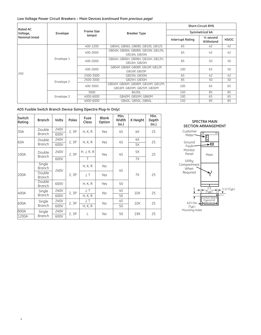#### **Low Voltage Power Circuit Breakers – Main Devices** *(continued from previous page)*

| <b>Rated AC</b> |            |                   |                                                                  | <b>Short-Circuit RMS</b> |                                   |              |  |
|-----------------|------------|-------------------|------------------------------------------------------------------|--------------------------|-----------------------------------|--------------|--|
| Voltage,        | Envelope   | <b>Frame Size</b> | <b>Breaker Type</b>                                              | Symmetrical kA           |                                   |              |  |
| Nominal (max)   |            | (amps)            |                                                                  | <b>Interrupt Rating</b>  | $\frac{1}{2}$ second<br>Withstand | <b>HSIOC</b> |  |
|                 |            | 400-1200          | GB04S, GB06S, GB08S, GB10S, GB12S                                | 65                       | 42                                | 42           |  |
|                 | Envelope 1 | 400-2000          | GB04N, GB06N, GB08N, GB10N, GB12N,<br>GB16N, GB20N               | 65                       | 42                                | 42           |  |
|                 |            | 400-2000          | GB04H, GB06H, GB08H, GB10H, GB12H,<br>GB16H, GB20H               | 85                       | 50                                | 50           |  |
| 240             |            | 400-2000          | GB04P, GB06P, GB08P, GB10P, GB12P,<br>GB16P. GB20P               | 100                      | 65                                | 50           |  |
|                 |            | 2500-3000         | GB25N, GB30N                                                     | 65                       | 42                                | 42           |  |
|                 | Envelope 2 | 2500-3000         | GB25H. GB30H                                                     | 85                       | 50                                | 50           |  |
|                 |            | 400-3000          | GB04M, GB06M, GB08M, GB10M, GB12M,<br>GB16M, GB20M, GB25M, GB30M | 100                      | 65                                | 65           |  |
|                 |            | 3000              | BG30L                                                            | 150                      | 85                                | 85           |  |
|                 | Envelope 3 | 4000-6000         | GB40M, GB50M, GB60M                                              | 100                      | 65                                | 65           |  |
|                 |            | 4000-6000         | GB40L, GB50L, GB60L                                              | 150                      | 85                                | 85           |  |

#### **ADS Fusible Switch Branch Device Sizing (Spectra Plug-In Only)**

| Switch<br>Rating | <b>Branch</b>           | Volts | Poles | Fuse<br>Class  | <b>Blank</b><br>Option | Min.<br>Width<br>(in.) | X Height        | Min.<br>Depth<br>(in.) |  |
|------------------|-------------------------|-------|-------|----------------|------------------------|------------------------|-----------------|------------------------|--|
| 30A              | Double                  | 240V  | 2,3P  | H, K, R        | Yes                    | 45                     | 4X              | 25                     |  |
|                  | <b>Branch</b>           | 600V  |       |                |                        |                        |                 |                        |  |
| 60A              | Double                  | 240V  | 2,3P  | H, K, R        | Yes                    | 45                     | 4X              | 25                     |  |
|                  | <b>Branch</b>           | 600V  |       |                |                        |                        | <b>5X</b>       |                        |  |
| 100A             | Double<br><b>Branch</b> | 240V  | 2,3P  | H, J, K, R     | Yes                    | 45                     | 5X              | 25                     |  |
|                  |                         | 600V  |       | T              |                        |                        | <b>7X</b>       |                        |  |
|                  | Single<br><b>Branch</b> | 240V  |       | H, K, R        | No                     | 45                     | <b>7X</b>       | 25                     |  |
| 200A             | Double<br><b>Branch</b> |       | 2,3P  | J, T           | Yes                    |                        |                 |                        |  |
|                  | Double<br><b>Branch</b> | 600V  |       | H, K, R        | Yes                    | 50                     |                 |                        |  |
| 400A             | Single                  | 240V  | 2,3P  | J, T           | <b>No</b>              | 45                     | <b>10X</b>      | 25                     |  |
|                  | <b>Branch</b>           | 600V  |       | H, K, R        |                        | 50                     |                 |                        |  |
| 600A             | Single                  | 240V  | 2, 3P | J, T           | No.                    | 45                     | 10X             | 25                     |  |
|                  | <b>Branch</b>           | 600V  |       | <b>H. K. R</b> |                        | 50                     |                 |                        |  |
| 800A             | Single                  | 240V  | 2, 3P | L              | <b>No</b>              | 50                     | 19 <sub>X</sub> | 25                     |  |
| 1200A            | <b>Branch</b>           | 600V  |       |                |                        |                        |                 |                        |  |



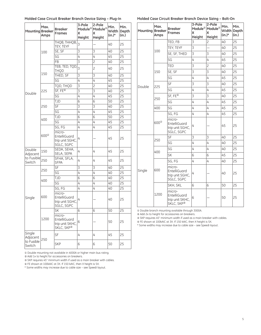#### Molded Case Circuit Breaker Branch Device Sizing - Plug-In Molded Case Circuit Breaker Branch Device Sizing - Bolt-On

| Mounting Breaker     | Max.<br>Amps | <b>Breaker</b><br><b>Frames</b>                                     | 3-Pole<br>Module <sup>2</sup><br>x<br>Height | 2-Pole<br>Module <sup>2</sup><br>x<br>Height | Min.<br>Width<br>(in.)* | Min.<br>Depth<br>(in.) |
|----------------------|--------------|---------------------------------------------------------------------|----------------------------------------------|----------------------------------------------|-------------------------|------------------------|
|                      |              | ТНОВ, ТННОВ,<br>TEY, TEYF                                           | $\overline{3}$                               |                                              | 40                      | 25                     |
|                      | 100          | SE, SF                                                              | 3                                            | 3                                            | 40                      | 25                     |
|                      |              | SG                                                                  | 4                                            | 4                                            | 45                      | 25                     |
|                      |              | FB                                                                  | 3                                            | $\overline{c}$                               | 40                      | 25                     |
|                      |              | TEB, TED, TQD,<br>THQD                                              | $\overline{3}$                               | 2                                            | 40                      | 25                     |
|                      | 150          | THED, SF                                                            | 3                                            | 3                                            | 40                      | 25                     |
|                      |              | SG                                                                  | 4                                            | 4                                            | 45                      | 25                     |
|                      |              | TQD, THQD                                                           | 3                                            | $\overline{c}$                               | 40                      | 25                     |
| Double               | 225          | $S$ F, FE $\overline{ }$                                            | 3                                            | $\overline{3}$                               | 40                      | 25                     |
|                      |              | SG                                                                  | 4                                            | 4                                            | 45                      | 25                     |
|                      |              | <b>TJD</b>                                                          | 6                                            | 6                                            | 50                      | 25                     |
|                      | 250          | SF                                                                  | 3                                            | 3                                            | 40                      | 25                     |
|                      |              | SG                                                                  | 4                                            | 4                                            | 45                      | 25                     |
|                      | 400          | <b>TJD</b>                                                          | 6                                            | 6                                            | 50                      | 25                     |
|                      |              | SG                                                                  | 4                                            | 4                                            | 45                      | 25                     |
|                      | $600^\circ$  | SG, FG                                                              | $\overline{4}$                               | 4                                            | 45                      | 25                     |
|                      |              | micro-<br>EntelliGuard<br>trip unit SGHC,<br>SGLC, SGPC             | 4                                            |                                              | 45                      | 25                     |
| Double<br>Adjacent   | 150          | SEDA, SEHA,<br>SELA, SEPA                                           | 4                                            | 4                                            | 45                      | 25                     |
| to Fusible<br>Switch | 250          | SFHA, SFLA,<br><b>SFPA</b>                                          | 4                                            | 4                                            | 45                      | 25                     |
|                      |              | SF                                                                  | 3                                            | $\overline{3}$                               | 40                      | 25                     |
|                      | 250          | SG                                                                  | 4                                            | 4                                            | 40                      | 25                     |
|                      |              | <b>TJD</b>                                                          | 6                                            | 6                                            | 40                      | 25                     |
|                      | 400          | SG                                                                  | 4                                            | 4                                            | 40                      | 25                     |
|                      |              | SG, FG                                                              | 4                                            | 4                                            | 40                      | 25                     |
| Single               | 600          | micro-<br>EntelliGuard<br>trip unit SGHC,<br>SGLC, SGPC             | 4                                            |                                              | 40                      | 25                     |
|                      |              | <b>SK</b>                                                           | 6                                            | 6                                            | 50                      | 25                     |
|                      | 1200         | micro-<br>EntelliGuard<br>trip unit SKHC,<br>SKLC, SKP <sup>3</sup> | 6                                            |                                              | 50                      | 25                     |
| Single<br>Adjacent   |              | SF                                                                  | 4                                            | 4                                            | 45                      | 25                     |
| to Fusible<br>Switch | 250          | <b>SKP</b>                                                          | 6                                            | 6                                            | 50                      | 25                     |

| <b>DICURCI DI UNICHI DEVICE SIZING</b><br>00100011 |               |                                                                     |                                              |                                                    |                                  |               |  |  |
|----------------------------------------------------|---------------|---------------------------------------------------------------------|----------------------------------------------|----------------------------------------------------|----------------------------------|---------------|--|--|
| Mounting Breaker                                   | Max.<br>Amps  | <b>Breaker</b><br><b>Frames</b>                                     | 3-Pole<br>Module <sup>2</sup><br>x<br>Height | 2-Pole<br>$\mathsf{Module}^\otimes$<br>x<br>Height | Min.<br>Width Depth<br>$(in.)^*$ | Min.<br>(in.) |  |  |
|                                                    |               | TED, FB                                                             | 3                                            | 2                                                  | 40                               | 25            |  |  |
|                                                    |               | TEY, TEYF                                                           | 3                                            |                                                    | 40                               | 25            |  |  |
|                                                    | 100           | SE, SF, THED                                                        | 3                                            | 3                                                  | 40                               | 25            |  |  |
|                                                    |               | SG                                                                  | 4                                            | 4                                                  | 45                               | 25            |  |  |
|                                                    |               | <b>TED</b>                                                          | 3                                            | $\overline{c}$                                     | 40                               | 25            |  |  |
|                                                    | 150           | SE, SF                                                              | 3                                            | 3                                                  | 40                               | 25            |  |  |
|                                                    |               | SG                                                                  | 4                                            | 4                                                  | 45                               | 25            |  |  |
|                                                    |               | SF                                                                  | 3                                            | 3                                                  | 40                               | 25            |  |  |
| Double                                             | 225           | SG                                                                  | 4                                            | 4                                                  | 45                               | 25            |  |  |
|                                                    | 250           | SF, FE <sup>4</sup>                                                 | 3                                            | 3                                                  | 40                               | 25            |  |  |
|                                                    |               | SG                                                                  | 4                                            | 4                                                  | 45                               | 25            |  |  |
|                                                    | 400           | SG                                                                  | 4                                            | 4                                                  | 45                               | 25            |  |  |
|                                                    | $600^{\circ}$ | SG, FG                                                              | 4                                            | 4                                                  | 45                               | 25            |  |  |
|                                                    |               | micro-<br>EntelliGuard<br>trip unit SGHC,<br>SGLC, SGPC             | 4                                            |                                                    | 45                               | 25            |  |  |
|                                                    | 250           | SF                                                                  | 3                                            | 3                                                  | 40                               | 25            |  |  |
|                                                    |               | SG                                                                  | 4                                            | 4                                                  | 40                               | 25            |  |  |
|                                                    | 400           | SG                                                                  | 4                                            | 4                                                  | 40                               | 25            |  |  |
|                                                    |               | <b>SK</b>                                                           | 6                                            | 6                                                  | 45                               | 25            |  |  |
|                                                    |               | SG, FG                                                              | 4                                            | 4                                                  | 40                               | 25            |  |  |
| Single                                             | 600           | micro-<br>EntelliGuard<br>trip unit SGHC,<br>SGLC, SGPC             | 4                                            |                                                    | 40                               | 25            |  |  |
|                                                    |               | SKH, SKL                                                            | 6                                            | 6                                                  | 50                               | 25            |  |  |
|                                                    | 1200          | micro-<br>EntelliGuard<br>trip unit SKHC,<br>SKLC, SKP <sup>3</sup> | 6                                            |                                                    | 50                               | 25            |  |  |

① Double branch mounting available through 3000A.

② Add 2x to height for accessories on breakers.

③ SKP requires 45" minimum width if used as a main breaker with cables.

④ FE shown at 100kAIC at 3X. If 150 kAIC, then X height is 5X.

\* Some widths may increase due to cable size – see Speedi layout.

① Double mounting not available in 4000A or higher main bus rating.

② Add 1x to height for accessories on breakers.

③ SKP requires 45" minimum width if used as a main breaker with cables.

④ FE shown at 100kAIC at 3X. If 150 kAIC, then X height is 5X.

\* Some widths may increase due to cable size – see Speedi layout.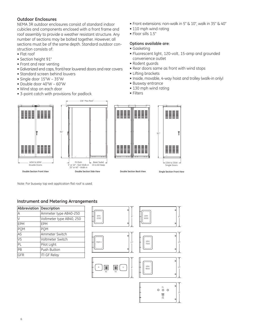#### **Outdoor Enclosures**

NEMA 3R outdoor enclosures consist of standard indoor cubicles and components enclosed with a front frame and roof assembly to provide a weather resistant structure. Any number of sections may be bolted together. However, all sections must be of the same depth. Standard outdoor construction consists of:

- Flat roof
- Section height 91"
- Front and rear venting
- Galvanized end caps, front/rear louvered doors and rear covers
- Standard screen behind louvers
- Single door 15"W 35"W
- Double door 40"W 60"W
- Wind stop on each door
- 3-point catch with provisions for padlock



- 110 mph wind rating
- Floor sills 1.5"

#### **Options available are:**

- Gasketing
- Fluorescent light, 120-volt, 15-amp and grounded convenience outlet
- Rodent guards
- Rear doors same as front with wind stops
- Lifting brackets
- Inside, movable, 4-way hoist and trolley (walk-in only)
- Busway entrance
- 130 mph wind rating
- Filters







 $-15W$  to 35W Single Doors

**Double Section Front View**

**Double Section Side View Double Section Back View Single Section Front View**

Note: For busway top exit application flat roof is used.

#### **Instrument and Metering Arrangements**

| Abbreviation Description |                          |
|--------------------------|--------------------------|
| A                        | Ammeter type AB40-250    |
| lv                       | Voltmeter type AB40, 250 |
| <b>IEPM</b>              | EPM                      |
| PQM                      | <b>POM</b>               |
| AS                       | Ammeter Switch           |
| VS                       | Voltmeter Switch         |
| $\overline{P}L$          | Pilot Light              |
| PB                       | Push Button              |
| <b>IGFR</b>              | <b>ITI GF Relay</b>      |



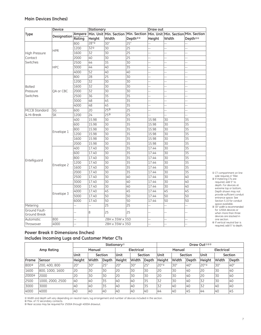#### **Main Devices (Inches)**

|                      | <b>Device</b>            |        | Stationary      |                        |                     | Draw out       |                 |                                     |
|----------------------|--------------------------|--------|-----------------|------------------------|---------------------|----------------|-----------------|-------------------------------------|
| <b>Type</b>          |                          | Ampere |                 | Min. Unit Min. Section | Min. Section        |                |                 | Min. Unit Min. Section Min. Section |
|                      | Designation              | Rating | Height          | Width                  | Depth <sup>24</sup> | Height         | Width           | Depth <sup>24</sup>                 |
|                      |                          | 800    | 28"①            | 30"                    | 25"                 | L.             |                 |                                     |
|                      | <b>HPR</b>               | 1200   | 32 <sup>0</sup> | $\overline{30}$        | $\overline{25}$     | Ц,             | 44              | 44                                  |
| High Pressure        |                          | 1600   | 32              | 30                     | $\overline{25}$     |                |                 | Ц,                                  |
| Contact              |                          | 2000   | 40              | 30                     | $\overline{25}$     | 4              | ÷,              | 44                                  |
| Switches             |                          | 2500   | 44              | 35                     | 30                  | L.             | $\overline{a}$  | $\overline{a}$                      |
|                      | <b>HPC</b>               | 3000   | 44              | 40                     | $\overline{35}$     | 44             | 44              |                                     |
|                      |                          | 4000   | $\overline{52}$ | 40                     | 40                  | ц,             | ÷,              | ш,                                  |
|                      |                          | 800    | $\overline{28}$ | $\overline{25}$        | $\overline{30}$     |                |                 | ш,                                  |
|                      |                          | 1200   | $\overline{32}$ | $\overline{30}$        | 30                  | 44             | ä,              | ä,                                  |
| <b>Bolted</b>        |                          | 1600   | 32              | 30                     | 30                  |                |                 | ÷.                                  |
| Pressure             | OA or CBC                | 2000   | 32              | 30                     | 30                  | u.             | --              | $\overline{a}$                      |
| Switches             |                          | 2500   | $\overline{36}$ | $\overline{35}$        | $\overline{35}$     |                |                 | $\overline{a}$                      |
|                      |                          | 3000   | 48              | 45                     | 35                  | 44             | ÷,              |                                     |
|                      |                          | 4000   | 48              | 45                     | $\overline{35}$     | ц,             | ш,              | ш,                                  |
| <b>MCCB Standard</b> | SG                       | 600    | $\overline{20}$ | 25 <sup>3</sup>        | $\overline{25}$     | $\overline{a}$ | $\overline{a}$  | $\overline{a}$                      |
| & Hi-Break           | $\overline{\mathsf{SK}}$ | 1200   | $\overline{24}$ | 25 <sup>3</sup>        | $\overline{25}$     | u.             | 44              |                                     |
|                      |                          | 400    | 15.98           | $\overline{30}$        | $\overline{35}$     | 15.98          | 30              | 35                                  |
|                      |                          | 600    | 15.98           | $\overline{30}$        | $\overline{35}$     | 15.98          | $\overline{30}$ | 35                                  |
|                      | Envelope 1               | 800    | 15.98           | 30                     | $\overline{35}$     | 15.98          | 30              | $\overline{35}$                     |
|                      |                          | 1200   | 15.98           | 30                     | $\overline{35}$     | 15.98          | 30              | $\overline{35}$                     |
|                      |                          | 1600   | 15.98           | $\overline{30}$        | $\overline{35}$     | 15.98          | $\overline{30}$ | $\overline{35}$                     |
|                      |                          | 2000   | 15.98           | $\overline{30}$        | $\overline{35}$     | 15.98          | $\overline{30}$ | $\overline{35}$                     |
|                      |                          | 400    | 17.40           | $\overline{30}$        | $\overline{35}$     | 17.44          | $\overline{30}$ | $\overline{35}$                     |
|                      |                          | 600    | 17.40           | 30                     | $\overline{35}$     | 17.44          | 30              | 35                                  |
|                      |                          | 800    | 17.40           | 30                     | 35                  | 17.44          | 30              | 35                                  |
| Entelliguard         |                          | 1200   | 17.40           | $\overline{30}$        | $\overline{35}$     | 17.44          | 30              | $\overline{35}$                     |
|                      | Envelope 2               | 1600   | 17.40           | $\overline{30}$        | 35                  | 17.44          | $\overline{30}$ | $\overline{35}$                     |
|                      |                          | 2000   | 17.40           | $\overline{30}$        | $\overline{35}$     | 17.44          | $\overline{30}$ | $\overline{35}$                     |
|                      |                          | 2500   | 17.40           | 30                     | 40                  | 17.44          | $\overline{30}$ | 40                                  |
|                      |                          | 3000   | 17.40           | 30                     | 40                  | 17.44          | $\overline{30}$ | 40                                  |
|                      |                          | 3000   | 17.40           | $\overline{30}$        | 40                  | 17.44          | $\overline{30}$ | 40                                  |
|                      |                          | 4000   | 17.40           | 45                     | 45                  | 17.44          | 45              | 45                                  |
|                      | Envelope 3               | 5000   | 17.40           | 50                     | 50                  | 17.44          | 50              | 50                                  |
|                      |                          | 6000   | 17.40           | $\overline{50}$        | 50                  | 17.44          | 50              | $\overline{50}$                     |
| Metering             |                          | ä,     | L,              | $\overline{25}$        | $\overline{25}$     | 4              | L,              | 4                                   |
| Ground Fault-        |                          |        |                 |                        | 25                  |                |                 |                                     |
| Ground Break         |                          | ż.     | 8               | 25                     |                     |                | ż.              | ц,                                  |
| Automatic            | 800                      | Ц,     |                 | 28H x 35W x 35D        |                     | --             | $-$             | $\overline{a}$                      |
| Throwover            | 4000                     |        |                 | 28H x 35W x 35D        |                     | --             | i.              | ц,                                  |

① CT compartment on line side requires 4" filler. ② If metering CTs are required, add 5" to depth. For devices at extreme top or bottom, Depth shown may not provide sufficient conduit entrance space. See Section 5.10 for conduit

- space available. ③ 30" width is recommended for 1200A devices or when more than three devices are stacked in one section.
- ④ If vertical neutral bar is required, add 5" to depth.

### **Power Break II Dimensions (Inches) Includes Incoming Lugs and Customer Meter CTs**

|                   | <b>Stationary</b> <sup>10</sup> |        |       |                |            | Draw Out <sup>123</sup> |         |                  |       |            |        |       |         |
|-------------------|---------------------------------|--------|-------|----------------|------------|-------------------------|---------|------------------|-------|------------|--------|-------|---------|
| Amp Rating        |                                 | Manual |       |                | Electrical |                         | Manual  |                  |       | Electrical |        |       |         |
|                   |                                 | Unit   |       | <b>Section</b> | Unit       |                         | Section | <b>Unit</b>      |       | Section    | Unit   |       | Section |
| Frame             | Sensor                          | Height | Width | Depth          | Height     | Width                   | Depth   | Height           | Width | Depth      | Height | Width | Depth   |
| 800©              | 200, 400, 800                   | 20"    | 30"   | 25"            | 20"        | <b>30"</b>              | 25"     | 20" <sup>O</sup> | 30"   | 40"        | 20"    | 30"   | 40"     |
| 1600              | 800, 1000, 1600                 | 20     | 30    | 30             | 20         | 30                      | 30      | 20               | 30    | 40         | 20     | 30    | 40      |
| 2000 <sup>2</sup> | 2000                            | 20     | 30    | 30             | 20         | 30                      | 30      | 20               | 30    | 40         | 20     | 30    | 40      |
| 2500              | 1000, 2000, 2500                | 40     | 40    | 35             | 140        | 40                      | 35      | 32               | 30    | 40         | 32     | 30    | 40      |
| 3000              | 3000                            | 40     | 40    | 35             | 40         | 40                      | 35      | 32               | 40    | 40         | 32     | 40    | 40      |
| 4000              | 4000                            | 40     | 40    | 40             | 40         | 40                      | 40      | 44               | 40    | 45         | 44     | 40    | 145     |

① Width and depth will vary depending on neutral risers, lug arrangement and number of devices included in the section.

② Max. of 72 secondary contacts. ③ Rear access may be required for 2500A through 4000A drawout.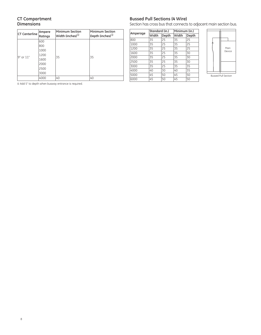#### **CT Compartment Dimensions**

| <b>CT Centerline</b> | Ampere<br>Ratings | <b>Minimum Section</b><br>$ $ Width (inches) $^{\textcircled{\tiny 1}}$ | Minimum Section<br>$\vert$ Depth (inches) $^{\scriptscriptstyle{(1)}}$ |
|----------------------|-------------------|-------------------------------------------------------------------------|------------------------------------------------------------------------|
|                      | 600               |                                                                         |                                                                        |
|                      | 800               |                                                                         |                                                                        |
|                      | 1000              |                                                                         |                                                                        |
| 9" or 11"            | 1200              | 35                                                                      | 35                                                                     |
|                      | 1600              |                                                                         |                                                                        |
|                      | 2000              |                                                                         |                                                                        |
|                      | 2500              |                                                                         |                                                                        |
|                      | 3000              |                                                                         |                                                                        |
|                      | 4000              | 40                                                                      | 40                                                                     |

Add 5" to depth when busway entrance is required.

#### **Bussed Pull Sections (4 Wire)**

Section has cross bus that connects to adjacent main section bus.

|      |          |       | Minimum (in.)  |       |  |
|------|----------|-------|----------------|-------|--|
|      | Width    | Depth |                | Depth |  |
| 800  | 35       | 25    | 35             | 25    |  |
| 1000 | 35       | 25    | 35             | 25    |  |
| 1200 | 35       | 25    | 35             | 25    |  |
| 1600 | 35       | 25    | 35             | 30    |  |
| 2000 | 35       | 25    | 35             | 30    |  |
| 2500 | 35       | 25    | 35             | 30    |  |
| 3000 | 35       | 25    | 35             | 35    |  |
| 4000 | 40       | 30    | 40             | 35    |  |
| 5000 | 45       | 50    | 45             | 50    |  |
| 6000 | 45       | 50    | 45             | 50    |  |
|      | Amperage |       | Standard (in.) | Width |  |



Bussed Pull Section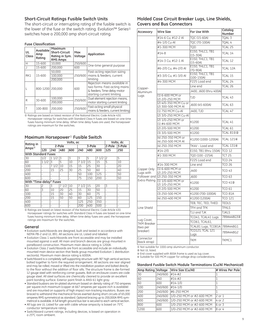#### **Short-Circuit Ratings Fusible Switch Units**

The short-circuit or interrupting rating of the fusible switch is the lower of the fuse or the switch rating. Evolution™ Series<sup>®</sup> switches have a 200,000 amp short-circuit rating.

#### **Fuse Classification**

| UL<br>Class   | Available<br>Amp<br>Rating | Maximum<br><b>Short-Circuit</b><br>Rating in Sym.<br><b>RMS Amps</b> | Max<br>Voltage | Application                                                                                                              |  |  |
|---------------|----------------------------|----------------------------------------------------------------------|----------------|--------------------------------------------------------------------------------------------------------------------------|--|--|
| H             | 15-600                     | 10,000                                                               | 250/600        | One-time general purpose                                                                                                 |  |  |
|               | 15-600                     | 200,000                                                              | 600            |                                                                                                                          |  |  |
|               |                            | 50.000                                                               |                | Fast-acting rejection sizing                                                                                             |  |  |
| RK1<br>15-600 |                            | 100.000                                                              | 250/600        | I mains & feeders, current                                                                                               |  |  |
|               |                            | 200,000                                                              |                | limitina                                                                                                                 |  |  |
|               | 800-1200 200.000           |                                                                      | 600            | Rejection means available in<br>two forms: Fast-acting mains<br>& feeders; Time-delay motor<br>starting current limiting |  |  |
| R             | 30-600                     | 100,000                                                              | 250/600        | Duel element rejection means,                                                                                            |  |  |
|               |                            | 200.000                                                              |                | motor starting current limiting                                                                                          |  |  |
|               | 100-800                    | 200.000                                                              | 250/600        | Fast-acting small physical<br>mains & feeders, current limiting                                                          |  |  |

① Ratings are based on latest revision of the National Electric Code Article 430. Horsepower ratings for switches with Standard Class H fuses are based on one-time fuses having minimum time delay. When time delay fuses are used, the horsepower ratings are maximum for the switches.

#### **Maximum Horsepower**<sup>➀</sup> **Fusible Switch**

| Rating in                      |                            |          |      | Volts, dc                |      |        |      |                |        |  |  |
|--------------------------------|----------------------------|----------|------|--------------------------|------|--------|------|----------------|--------|--|--|
| $Amps^{\textcircled{\tiny 1}}$ | 2-Pole                     |          |      |                          |      | 3-Pole |      |                | 3-Pole |  |  |
|                                | 120                        | 240      | 480  | 600                      | 240  | 480    | 600  | 125            | 250    |  |  |
|                                | <b>With Standard Fuses</b> |          |      |                          |      |        |      |                |        |  |  |
| 30                             | 1/2                        | 1/2<br>1 | 3    | 3                        | 3    | 5      | 71/2 | $\overline{c}$ | 5      |  |  |
| 60                             | 11/2                       | 3        | 5    | 10                       | 71/2 | 15     | 15   | 5              | 10     |  |  |
| 100                            |                            | 71/2     | 10   | 15                       | 15   | 25     | 30   | $\overline{a}$ | 20     |  |  |
| 200                            |                            | 15       | 25   | 30                       | 25   | 50     | 60   |                | 40     |  |  |
| 400                            | $\overline{\phantom{0}}$   |          |      |                          | 50   | 100    | 125  | $\overline{a}$ | 50     |  |  |
| 600                            |                            |          |      | $\overline{\phantom{0}}$ | 75   | 150    | 200  | $\overline{a}$ | 50     |  |  |
| With "Time-delay" Fuses        |                            |          |      |                          |      |        |      |                |        |  |  |
| 30                             | 2                          | 3        | 71/2 | 10                       | 71/2 | 15     | 20   | 3              |        |  |  |
| 60                             | 3                          | 10       | 20   | 25                       | 15   | 30     | 50   | $\overline{a}$ |        |  |  |
| 100                            | $\overline{a}$             | 15       | 30   | 40                       | 30   | 60     | 75   | $\overline{a}$ |        |  |  |
| 200                            | $\overline{a}$             | 15       | 50   | 50                       | 60   | 125    | 150  | $\overline{a}$ |        |  |  |
| 400                            | $\overline{a}$             |          |      |                          | 125  | 250    | 350  | $\overline{a}$ |        |  |  |
| 600                            | $\overline{a}$             |          |      |                          | 200  | 400    | 500  | $\overline{a}$ |        |  |  |

① Ratings are based on latest revision of the National Electric Code Article 430. Horsepower ratings for switches with Standard Class H fuses are based on one-time fuses having minimum time delay. When time delay fuses are used, the horsepower ratings are maximum for the switches.

#### **General**

- Evolution switchboards are designed, built and tested in accordance with NEMA PB-2 and UL 891. All sections are UL Listed and labeled.
- Evolution Class 1 switchboards are front accessible and may be installed mounted against a wall. All main and branch devices are group mounted in panelboard construction. Maximum main device rating is 1200A.
- Evolution Class 2 switchboards are front accessible and include an individually mounted main device section that feeds group mounted Evolution 1 distribution section(s). Maximum main device rating is 6000A.
- Switchboard is a completely self-supporting structure with 90" high vertical sections bolted together to form the required arrangement. All sections are rear aligned and may be rolled, moved or lifted into the installation position and bolted directly to the floor without the addition of floor sills. The structure frame is die-formed 12 gauge steel with reinforcing corner gussets. Bolt-on enclosure covers are code gauge steel. All steel surfaces are chemically cleaned to provide an excellent paint bonding surface. Exterior paint finish is ANSI 61 light gray.
- Standard busbars are tin-plated aluminum based on density rating of 750 amperes per square inch maximum (copper at 667 amperes per square inch is available) and are mounted on supports of high impact non-tracking insulators. Buses are braced to withstand the mechanical forces exerted during short circuits of 65,000 amperes RMS symmetrical as standard. Optional bracing up to 200,000A RMS symmetrical is available. A full length ground bus bar is secured to each vertical section.
- All lugs are UL Listed for use with cable whose ampacity is based on 75°C conductor temperature rating.
- Switchboard current ratings, including devices, is based on operation in a 25°C room ambient.

#### **Molded Case Circuit Breaker Lugs, Line Shields, Covers and Bus Connectors**

| Accessory                                                    | <b>Wire Size</b>                            | For Use With                            | Catalog<br>Number   |
|--------------------------------------------------------------|---------------------------------------------|-----------------------------------------|---------------------|
|                                                              | #14-6 Cu, #12-2 Al                          | TOC (15-60A)                            | TOAL <sub>3</sub>   |
| Extra Plating<br>Lug Cover,<br><b>TKM Breaker</b><br>two per | #4-1/0 Cu-Al                                | TQC (70-100A)                           | TQAL 4              |
|                                                              | #1-300 MCM                                  | TOD                                     | TCAL 25             |
|                                                              | #14-8                                       | <b>E150. THLC1. TB1</b><br>$(15 - 30A)$ | TCAL 14             |
|                                                              | #14-3 Cu, #12-1 Al                          | <b>E150, THLC1, TB1</b><br>(15-60A)     | TCAL 12             |
| Copper-                                                      | #6-2/0 Cu, #4-2/0 Al                        | <b>E150, THLC1, TB1</b><br>$(70-90A)$   | TCAL 12A            |
|                                                              | #3-3/0 Cu, #1-3/0 Al                        | <b>E150, THLC1, TB1</b><br>$(100-150A)$ | TCAL 15             |
|                                                              | #4-300 MCM                                  | F225 Load end                           | TCAL 24             |
|                                                              |                                             | Line end                                | TCAL 26             |
| Aluminum                                                     |                                             | J400, J600 (thru 400A)                  |                     |
| Lugs                                                         | (1) 6-600 MCM or<br>(2) 2/0-250 MCM         | TJD                                     | TCAL 43             |
|                                                              | (2) 4/0-350 MCM Cu or<br>(2) 300-500 MCM Al | J600 (45-600A)                          | TCAL 63             |
|                                                              | (1) 750 MCM Cu-Al                           | J400, TJD                               | TCAL 47             |
|                                                              | (2) 3/0-250 MCM Cu-Al                       |                                         |                     |
|                                                              | (2) 1/0-250 MCM or<br>(1) #4-600 MCM        | K1200                                   | TCAL 41             |
|                                                              | (2) 2/0-500 MCM                             | K1200                                   | TCAL <sub>61</sub>  |
|                                                              | (3) 3/0-500 MCM                             | K1200                                   | <b>TCAL 8102</b>    |
|                                                              | (4) 250-350 MCM or<br>(4) 250-500 MCM Al    | K1200 (1000-1200A)                      | <b>TCAL 1214</b>    |
|                                                              | (4) 250-350 MCM                             | TK4V - Load end                         | <b>TCAL 1314</b>    |
|                                                              | #14-2/0                                     | E150, TB1 (thru 150A)                   | <b>TCO 12</b>       |
|                                                              | #1-300 MCM                                  | TOD (100 - 225A)                        | TCT <sub>25</sub>   |
|                                                              |                                             | F225 Load end                           | <b>TCO 24</b>       |
|                                                              | #14-300 MCM                                 | Line end                                | <b>TCO 26</b>       |
| Copper Only<br>Lugs with                                     | (1) 6-600 MCM or<br>(2) 2/0-250 MCM         | J400                                    | <b>TCO 43</b>       |
| Follower and                                                 | (2) 250-350 MCM                             | J600                                    | <b>TCO 63</b>       |
|                                                              | (1) 1/0-600 MCM or<br>(2) 1/0-250 MCM       | K1200                                   | TCO 41 <sup>2</sup> |
|                                                              | (2) 2/0-500 MCM                             | K1200                                   | <b>TCO 61</b>       |
|                                                              | (3) 250-500 MCM                             | K1200 (700-1000A)                       | <b>TCO 81A</b>      |
|                                                              | (4) 250-400 MCM                             | K1200 (1200A)                           | <b>TCO 121</b>      |
|                                                              |                                             | TEB, TEC, TED, THED                     | <b>TEDLS</b>        |
| Line Shield                                                  |                                             | TFH and TFK                             | <b>TFKLS</b>        |
|                                                              |                                             | TJJ and TJK                             | <b>TJKLS</b>        |
|                                                              |                                             | TCO41, TCAL41 Lugs                      | 789A448G33          |
|                                                              |                                             | <b>TCO61, TCAL61,</b>                   |                     |
|                                                              |                                             | TCAL81 Lugs, TCO81A                     | 789A448G1           |
| breaker)                                                     |                                             | <b>TCO121; TCAL 121</b><br>Lugs         | 789A448G2           |
| Connector<br>(back strap)                                    |                                             | <b>TKM</b>                              | TKMC1               |

① Not suitable for 1000-amp aluminum conductor.

② Not UL listed.

③ End cover supplied with 800A frame is used as lug cover.

④ Suitable for 500 MCM copper for voltage drop considerations.

#### **Standard Fusible Switch Module Terminations (Cu/Al Mechanical)**

| Amp Rating Voltage |         | Wire Size (Cu/Al)         | # Wires Per Pole |
|--------------------|---------|---------------------------|------------------|
| 30                 | 240/600 | #14-#2                    |                  |
| 60                 | 240     | $\#14 - \#2$              |                  |
| 60                 | 600     | $\#14 - 1/0$              |                  |
| 100                | 240/600 | $\#14 - 1/0$              |                  |
| 200                | 240/600 | #6-250 MCM                |                  |
| 400                | 240/600 | 1/0-250 MCM or #2-600 MCM | 2 or 1           |
| 600                | 240/600 | 1/0-250 MCM or #2-600 MCM | 4 or 2           |
| 800                | 600     | 1/0-250 MCM or #2-600 MCM | 6 or 3           |
| 1200               | 600     | 1/0-250 MCM or #2-600 MCM | 8 or 4           |